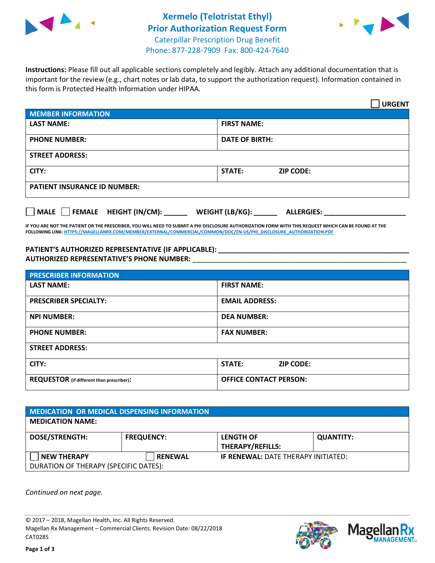



Phone: 877-228-7909 Fax: 800-424-7640

**Instructions:** Please fill out all applicable sections completely and legibly. Attach any additional documentation that is important for the review (e.g., chart notes or lab data, to support the authorization request). Information contained in this form is Protected Health Information under HIPAA.

|                                                                                     | <b>URGENT</b>                     |  |  |  |
|-------------------------------------------------------------------------------------|-----------------------------------|--|--|--|
| <b>MEMBER INFORMATION</b>                                                           |                                   |  |  |  |
| <b>LAST NAME:</b>                                                                   | <b>FIRST NAME:</b>                |  |  |  |
| <b>PHONE NUMBER:</b>                                                                | <b>DATE OF BIRTH:</b>             |  |  |  |
| <b>STREET ADDRESS:</b>                                                              |                                   |  |  |  |
| CITY:                                                                               | <b>STATE:</b><br><b>ZIP CODE:</b> |  |  |  |
| <b>PATIENT INSURANCE ID NUMBER:</b>                                                 |                                   |  |  |  |
| $\Box$ MALE $\Box$ FEMALE HEIGHT (IN/CM): _<br>WEIGHT (LB/KG):<br><b>ALLERGIES:</b> |                                   |  |  |  |

**IF YOU ARE NOT THE PATIENT OR THE PRESCRIBER, YOU WILL NEED TO SUBMIT A PHI DISCLOSURE AUTHORIZATION FORM WITH THIS REQUEST WHICH CAN BE FOUND AT THE FOLLOWING LINK[: HTTPS://MAGELLANRX.COM/MEMBER/EXTERNAL/COMMERCIAL/COMMON/DOC/EN-US/PHI\\_DISCLOSURE\\_AUTHORIZATION.PDF](https://magellanrx.com/member/external/commercial/common/doc/en-us/PHI_Disclosure_Authorization.pdf)**

**PATIENT'S AUTHORIZED REPRESENTATIVE (IF APPLICABLE): \_\_\_\_\_\_\_\_\_\_\_\_\_\_\_\_\_\_\_\_\_\_\_\_\_\_\_\_\_\_\_\_\_\_\_\_\_\_\_\_\_\_\_\_\_\_\_\_\_ AUTHORIZED REPRESENTATIVE'S PHONE NUMBER:** \_\_\_\_\_\_\_\_\_\_\_\_\_\_\_\_\_\_\_\_\_\_\_\_\_\_\_\_\_\_\_\_\_\_\_\_\_\_\_\_\_\_\_\_\_\_\_\_\_\_\_\_\_\_\_

| <b>PRESCRIBER INFORMATION</b>             |                               |  |  |  |
|-------------------------------------------|-------------------------------|--|--|--|
| <b>LAST NAME:</b>                         | <b>FIRST NAME:</b>            |  |  |  |
| <b>PRESCRIBER SPECIALTY:</b>              | <b>EMAIL ADDRESS:</b>         |  |  |  |
| <b>NPI NUMBER:</b>                        | <b>DEA NUMBER:</b>            |  |  |  |
| <b>PHONE NUMBER:</b>                      | <b>FAX NUMBER:</b>            |  |  |  |
| <b>STREET ADDRESS:</b>                    |                               |  |  |  |
| CITY:                                     | STATE:<br><b>ZIP CODE:</b>    |  |  |  |
| REQUESTOR (if different than prescriber): | <b>OFFICE CONTACT PERSON:</b> |  |  |  |

| MEDICATION OR MEDICAL DISPENSING INFORMATION |                   |                                             |                  |  |  |
|----------------------------------------------|-------------------|---------------------------------------------|------------------|--|--|
| <b>MEDICATION NAME:</b>                      |                   |                                             |                  |  |  |
| <b>DOSE/STRENGTH:</b>                        | <b>FREQUENCY:</b> | <b>LENGTH OF</b><br><b>THERAPY/REFILLS:</b> | <b>QUANTITY:</b> |  |  |
| <b>NEW THERAPY</b>                           | <b>RENEWAL</b>    | <b>IF RENEWAL: DATE THERAPY INITIATED:</b>  |                  |  |  |
| DURATION OF THERAPY (SPECIFIC DATES):        |                   |                                             |                  |  |  |

*Continued on next page.*

© 2017 – 2018, Magellan Health, Inc. All Rights Reserved. Magellan Rx Management – Commercial Clients. Revision Date: 08/22/2018 CAT0285



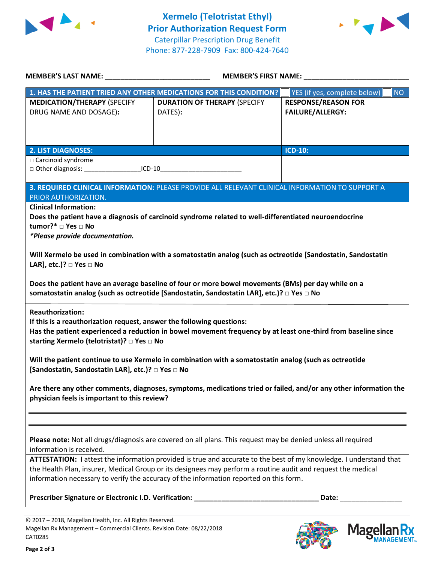



Magellan Rx

| <b>MEMBER'S LAST NAME:</b>                                                                                                                                                                                                                                      | <b>MEMBER'S FIRST NAME:</b>                                                                                                                                                                                                                                                                                                                                                                                              |                                                       |  |  |  |
|-----------------------------------------------------------------------------------------------------------------------------------------------------------------------------------------------------------------------------------------------------------------|--------------------------------------------------------------------------------------------------------------------------------------------------------------------------------------------------------------------------------------------------------------------------------------------------------------------------------------------------------------------------------------------------------------------------|-------------------------------------------------------|--|--|--|
| 1. HAS THE PATIENT TRIED ANY OTHER MEDICATIONS FOR THIS CONDITION?                                                                                                                                                                                              |                                                                                                                                                                                                                                                                                                                                                                                                                          | <b>NO</b><br>YES (if yes, complete below)             |  |  |  |
| <b>MEDICATION/THERAPY (SPECIFY</b><br>DRUG NAME AND DOSAGE):                                                                                                                                                                                                    | <b>DURATION OF THERAPY (SPECIFY</b><br>DATES):                                                                                                                                                                                                                                                                                                                                                                           | <b>RESPONSE/REASON FOR</b><br><b>FAILURE/ALLERGY:</b> |  |  |  |
| <b>2. LIST DIAGNOSES:</b>                                                                                                                                                                                                                                       |                                                                                                                                                                                                                                                                                                                                                                                                                          | <b>ICD-10:</b>                                        |  |  |  |
| □ Carcinoid syndrome<br>□ Other diagnosis: ____________________ICD-10__________________________________                                                                                                                                                         |                                                                                                                                                                                                                                                                                                                                                                                                                          |                                                       |  |  |  |
| PRIOR AUTHORIZATION.                                                                                                                                                                                                                                            | 3. REQUIRED CLINICAL INFORMATION: PLEASE PROVIDE ALL RELEVANT CLINICAL INFORMATION TO SUPPORT A                                                                                                                                                                                                                                                                                                                          |                                                       |  |  |  |
| <b>Clinical Information:</b><br>tumor?* □ Yes □ No<br>*Please provide documentation.<br>LAR], etc.)? $\Box$ Yes $\Box$ No                                                                                                                                       | Does the patient have a diagnosis of carcinoid syndrome related to well-differentiated neuroendocrine<br>Will Xermelo be used in combination with a somatostatin analog (such as octreotide [Sandostatin, Sandostatin<br>Does the patient have an average baseline of four or more bowel movements (BMs) per day while on a<br>somatostatin analog (such as octreotide [Sandostatin, Sandostatin LAR], etc.)? □ Yes □ No |                                                       |  |  |  |
| <b>Reauthorization:</b><br>If this is a reauthorization request, answer the following questions:<br>starting Xermelo (telotristat)? □ Yes □ No<br>[Sandostatin, Sandostatin LAR], etc.)? □ Yes □ No                                                             | Has the patient experienced a reduction in bowel movement frequency by at least one-third from baseline since<br>Will the patient continue to use Xermelo in combination with a somatostatin analog (such as octreotide                                                                                                                                                                                                  |                                                       |  |  |  |
| Are there any other comments, diagnoses, symptoms, medications tried or failed, and/or any other information the<br>physician feels is important to this review?                                                                                                |                                                                                                                                                                                                                                                                                                                                                                                                                          |                                                       |  |  |  |
| Please note: Not all drugs/diagnosis are covered on all plans. This request may be denied unless all required<br>information is received.<br>ATTESTATION: I attest the information provided is true and accurate to the best of my knowledge. I understand that |                                                                                                                                                                                                                                                                                                                                                                                                                          |                                                       |  |  |  |
| the Health Plan, insurer, Medical Group or its designees may perform a routine audit and request the medical<br>information necessary to verify the accuracy of the information reported on this form.                                                          |                                                                                                                                                                                                                                                                                                                                                                                                                          |                                                       |  |  |  |
|                                                                                                                                                                                                                                                                 |                                                                                                                                                                                                                                                                                                                                                                                                                          |                                                       |  |  |  |
| © 2017 - 2018, Magellan Health, Inc. All Rights Reserved.                                                                                                                                                                                                       |                                                                                                                                                                                                                                                                                                                                                                                                                          |                                                       |  |  |  |

Magellan Rx Management – Commercial Clients. Revision Date: 08/22/2018 CAT0285